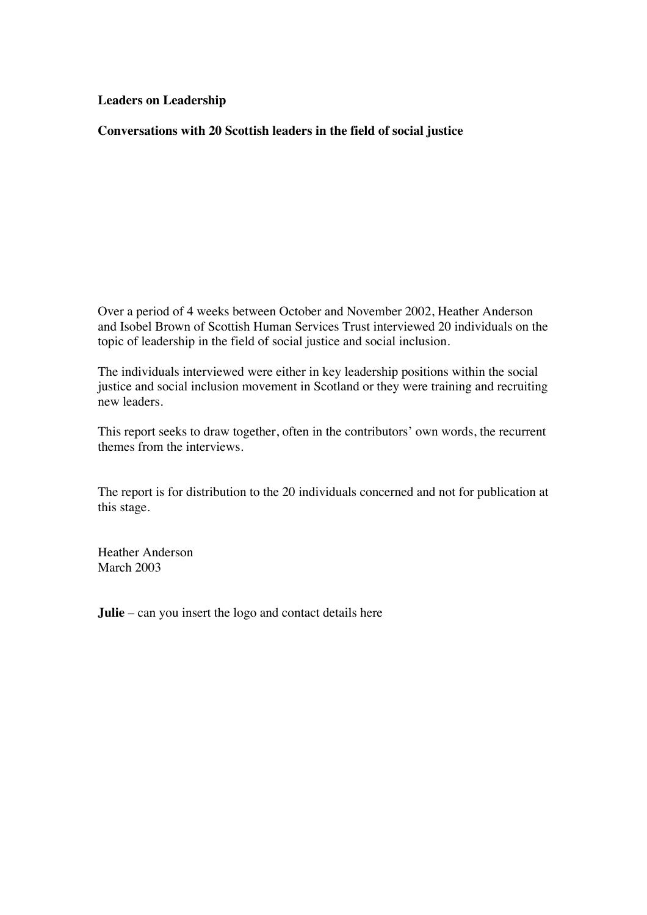**Leaders on Leadership**

**Conversations with 20 Scottish leaders in the field of social justice** 

Over a period of 4 weeks between October and November 2002, Heather Anderson and Isobel Brown of Scottish Human Services Trust interviewed 20 individuals on the topic of leadership in the field of social justice and social inclusion.

The individuals interviewed were either in key leadership positions within the social justice and social inclusion movement in Scotland or they were training and recruiting new leaders.

This report seeks to draw together, often in the contributors' own words, the recurrent themes from the interviews.

The report is for distribution to the 20 individuals concerned and not for publication at this stage.

Heather Anderson March 2003

**Julie** – can you insert the logo and contact details here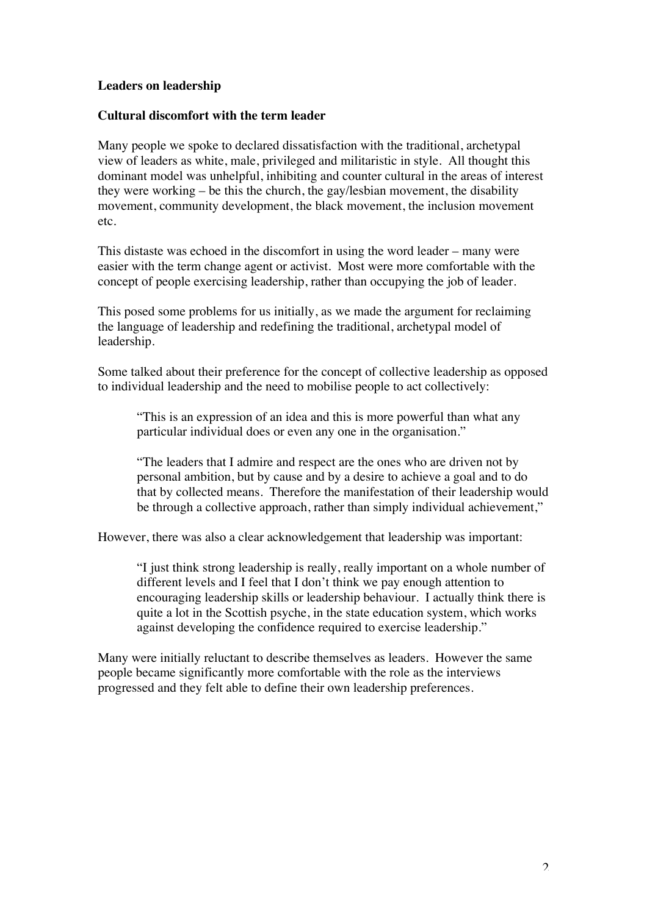# **Leaders on leadership**

# **Cultural discomfort with the term leader**

Many people we spoke to declared dissatisfaction with the traditional, archetypal view of leaders as white, male, privileged and militaristic in style. All thought this dominant model was unhelpful, inhibiting and counter cultural in the areas of interest they were working – be this the church, the gay/lesbian movement, the disability movement, community development, the black movement, the inclusion movement etc.

This distaste was echoed in the discomfort in using the word leader – many were easier with the term change agent or activist. Most were more comfortable with the concept of people exercising leadership, rather than occupying the job of leader.

This posed some problems for us initially, as we made the argument for reclaiming the language of leadership and redefining the traditional, archetypal model of leadership.

Some talked about their preference for the concept of collective leadership as opposed to individual leadership and the need to mobilise people to act collectively:

"This is an expression of an idea and this is more powerful than what any particular individual does or even any one in the organisation."

"The leaders that I admire and respect are the ones who are driven not by personal ambition, but by cause and by a desire to achieve a goal and to do that by collected means. Therefore the manifestation of their leadership would be through a collective approach, rather than simply individual achievement,"

However, there was also a clear acknowledgement that leadership was important:

"I just think strong leadership is really, really important on a whole number of different levels and I feel that I don't think we pay enough attention to encouraging leadership skills or leadership behaviour. I actually think there is quite a lot in the Scottish psyche, in the state education system, which works against developing the confidence required to exercise leadership."

Many were initially reluctant to describe themselves as leaders. However the same people became significantly more comfortable with the role as the interviews progressed and they felt able to define their own leadership preferences.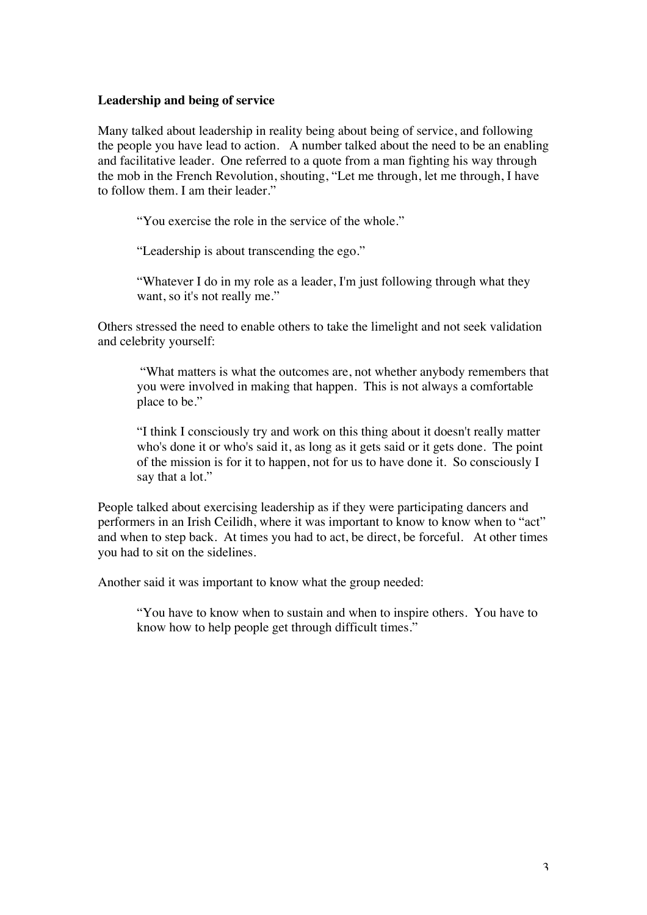### **Leadership and being of service**

Many talked about leadership in reality being about being of service, and following the people you have lead to action. A number talked about the need to be an enabling and facilitative leader. One referred to a quote from a man fighting his way through the mob in the French Revolution, shouting, "Let me through, let me through, I have to follow them. I am their leader."

"You exercise the role in the service of the whole."

"Leadership is about transcending the ego."

"Whatever I do in my role as a leader, I'm just following through what they want, so it's not really me."

Others stressed the need to enable others to take the limelight and not seek validation and celebrity yourself:

"What matters is what the outcomes are, not whether anybody remembers that you were involved in making that happen. This is not always a comfortable place to be."

"I think I consciously try and work on this thing about it doesn't really matter who's done it or who's said it, as long as it gets said or it gets done. The point of the mission is for it to happen, not for us to have done it. So consciously I say that a lot."

People talked about exercising leadership as if they were participating dancers and performers in an Irish Ceilidh, where it was important to know to know when to "act" and when to step back. At times you had to act, be direct, be forceful. At other times you had to sit on the sidelines.

Another said it was important to know what the group needed:

"You have to know when to sustain and when to inspire others. You have to know how to help people get through difficult times."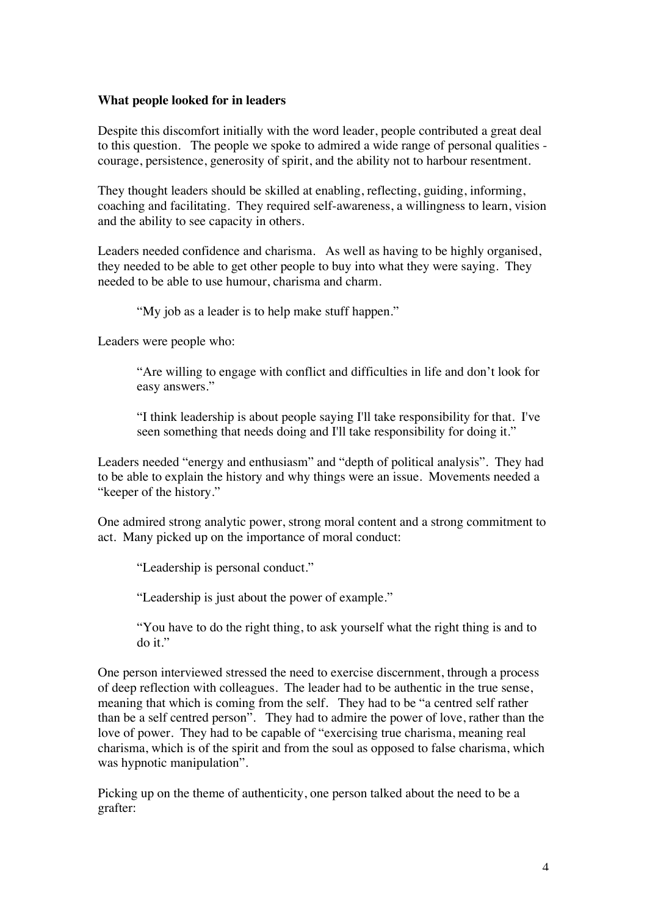## **What people looked for in leaders**

Despite this discomfort initially with the word leader, people contributed a great deal to this question. The people we spoke to admired a wide range of personal qualities courage, persistence, generosity of spirit, and the ability not to harbour resentment.

They thought leaders should be skilled at enabling, reflecting, guiding, informing, coaching and facilitating. They required self-awareness, a willingness to learn, vision and the ability to see capacity in others.

Leaders needed confidence and charisma. As well as having to be highly organised, they needed to be able to get other people to buy into what they were saying. They needed to be able to use humour, charisma and charm.

"My job as a leader is to help make stuff happen."

Leaders were people who:

"Are willing to engage with conflict and difficulties in life and don't look for easy answers."

"I think leadership is about people saying I'll take responsibility for that. I've seen something that needs doing and I'll take responsibility for doing it."

Leaders needed "energy and enthusiasm" and "depth of political analysis". They had to be able to explain the history and why things were an issue. Movements needed a "keeper of the history."

One admired strong analytic power, strong moral content and a strong commitment to act. Many picked up on the importance of moral conduct:

"Leadership is personal conduct."

"Leadership is just about the power of example."

"You have to do the right thing, to ask yourself what the right thing is and to do it."

One person interviewed stressed the need to exercise discernment, through a process of deep reflection with colleagues. The leader had to be authentic in the true sense, meaning that which is coming from the self. They had to be "a centred self rather than be a self centred person". They had to admire the power of love, rather than the love of power. They had to be capable of "exercising true charisma, meaning real charisma, which is of the spirit and from the soul as opposed to false charisma, which was hypnotic manipulation".

Picking up on the theme of authenticity, one person talked about the need to be a grafter: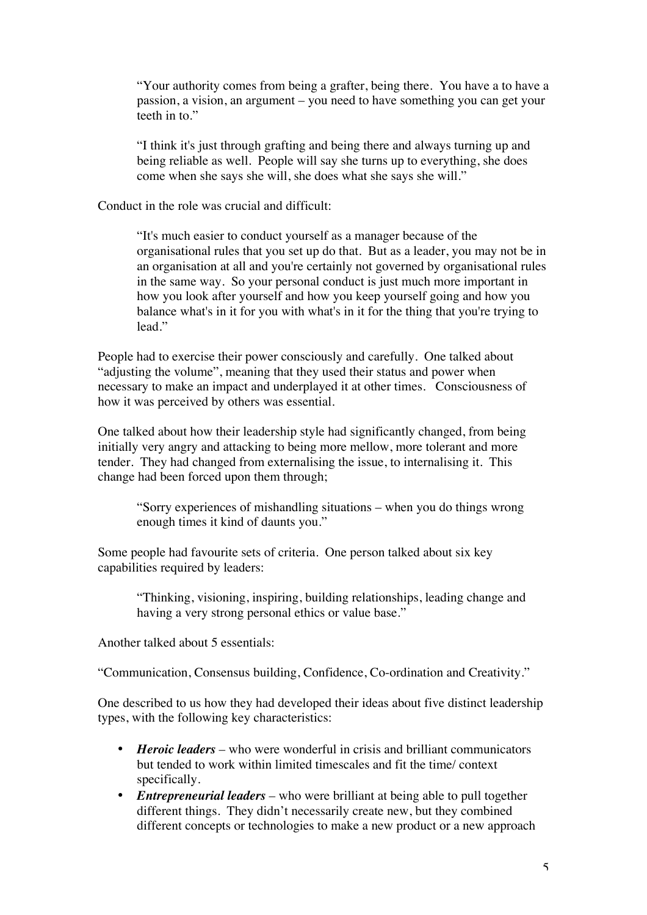"Your authority comes from being a grafter, being there. You have a to have a passion, a vision, an argument – you need to have something you can get your teeth in to."

"I think it's just through grafting and being there and always turning up and being reliable as well. People will say she turns up to everything, she does come when she says she will, she does what she says she will."

Conduct in the role was crucial and difficult:

"It's much easier to conduct yourself as a manager because of the organisational rules that you set up do that. But as a leader, you may not be in an organisation at all and you're certainly not governed by organisational rules in the same way. So your personal conduct is just much more important in how you look after yourself and how you keep yourself going and how you balance what's in it for you with what's in it for the thing that you're trying to lead."

People had to exercise their power consciously and carefully. One talked about "adjusting the volume", meaning that they used their status and power when necessary to make an impact and underplayed it at other times. Consciousness of how it was perceived by others was essential.

One talked about how their leadership style had significantly changed, from being initially very angry and attacking to being more mellow, more tolerant and more tender. They had changed from externalising the issue, to internalising it. This change had been forced upon them through;

"Sorry experiences of mishandling situations – when you do things wrong enough times it kind of daunts you."

Some people had favourite sets of criteria. One person talked about six key capabilities required by leaders:

"Thinking, visioning, inspiring, building relationships, leading change and having a very strong personal ethics or value base."

Another talked about 5 essentials:

"Communication, Consensus building, Confidence, Co-ordination and Creativity."

One described to us how they had developed their ideas about five distinct leadership types, with the following key characteristics:

- *Heroic leaders* who were wonderful in crisis and brilliant communicators but tended to work within limited timescales and fit the time/ context specifically.
- *Entrepreneurial leaders* who were brilliant at being able to pull together different things. They didn't necessarily create new, but they combined different concepts or technologies to make a new product or a new approach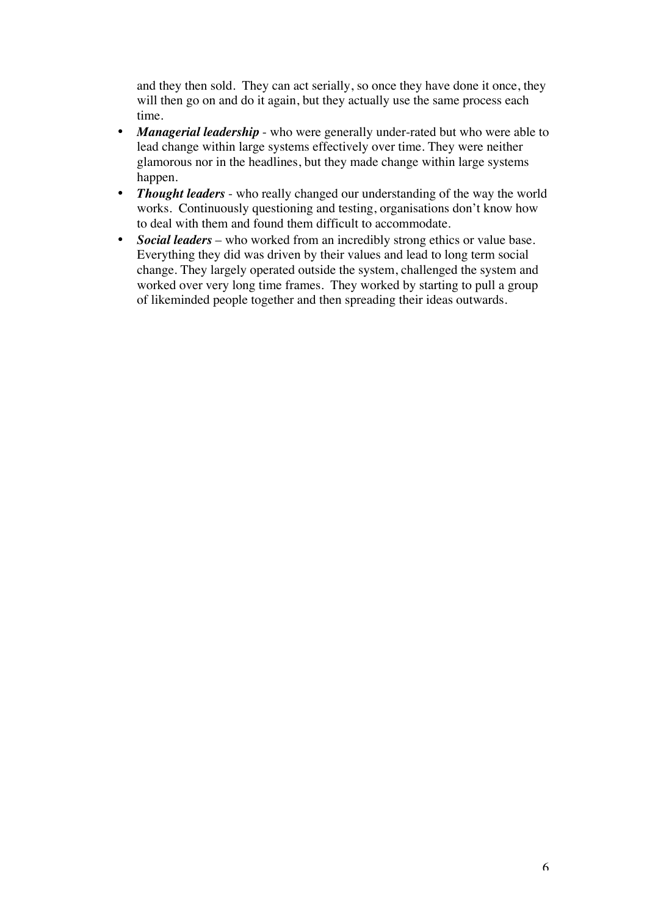and they then sold. They can act serially, so once they have done it once, they will then go on and do it again, but they actually use the same process each time.

- *Managerial leadership* who were generally under-rated but who were able to lead change within large systems effectively over time. They were neither glamorous nor in the headlines, but they made change within large systems happen.
- *Thought leaders* who really changed our understanding of the way the world works. Continuously questioning and testing, organisations don't know how to deal with them and found them difficult to accommodate.
- *Social leaders* who worked from an incredibly strong ethics or value base. Everything they did was driven by their values and lead to long term social change. They largely operated outside the system, challenged the system and worked over very long time frames. They worked by starting to pull a group of likeminded people together and then spreading their ideas outwards.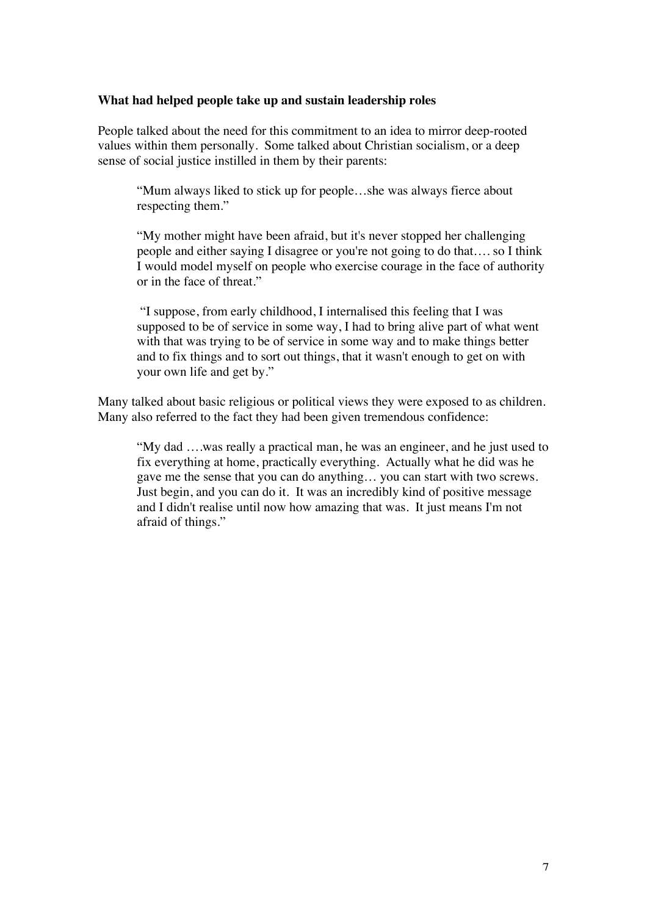### **What had helped people take up and sustain leadership roles**

People talked about the need for this commitment to an idea to mirror deep-rooted values within them personally. Some talked about Christian socialism, or a deep sense of social justice instilled in them by their parents:

"Mum always liked to stick up for people…she was always fierce about respecting them."

"My mother might have been afraid, but it's never stopped her challenging people and either saying I disagree or you're not going to do that…. so I think I would model myself on people who exercise courage in the face of authority or in the face of threat."

"I suppose, from early childhood, I internalised this feeling that I was supposed to be of service in some way, I had to bring alive part of what went with that was trying to be of service in some way and to make things better and to fix things and to sort out things, that it wasn't enough to get on with your own life and get by."

Many talked about basic religious or political views they were exposed to as children. Many also referred to the fact they had been given tremendous confidence:

"My dad ….was really a practical man, he was an engineer, and he just used to fix everything at home, practically everything. Actually what he did was he gave me the sense that you can do anything… you can start with two screws. Just begin, and you can do it. It was an incredibly kind of positive message and I didn't realise until now how amazing that was. It just means I'm not afraid of things."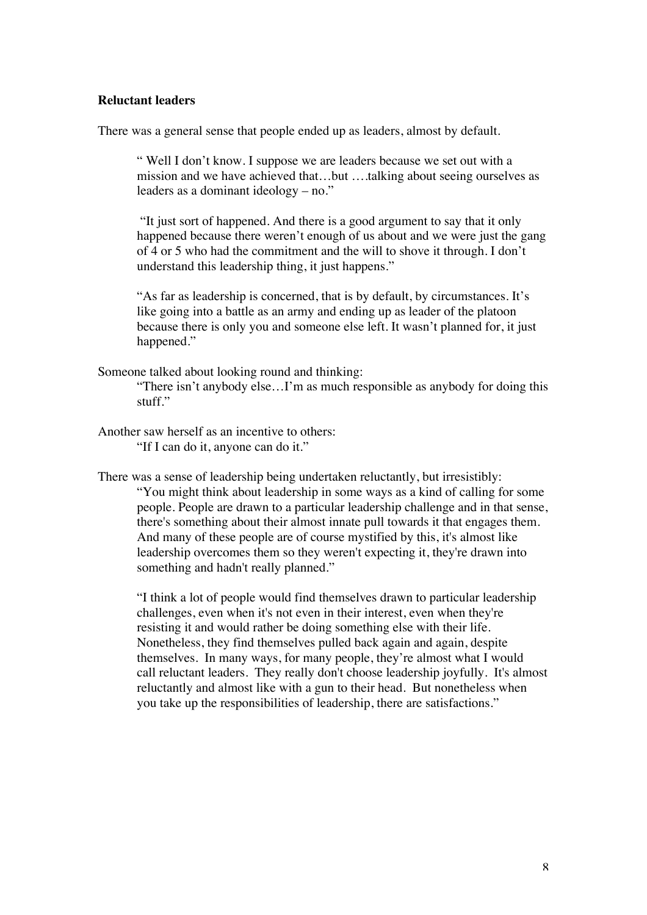#### **Reluctant leaders**

There was a general sense that people ended up as leaders, almost by default.

" Well I don't know. I suppose we are leaders because we set out with a mission and we have achieved that…but ….talking about seeing ourselves as leaders as a dominant ideology – no."

"It just sort of happened. And there is a good argument to say that it only happened because there weren't enough of us about and we were just the gang of 4 or 5 who had the commitment and the will to shove it through. I don't understand this leadership thing, it just happens."

"As far as leadership is concerned, that is by default, by circumstances. It's like going into a battle as an army and ending up as leader of the platoon because there is only you and someone else left. It wasn't planned for, it just happened."

Someone talked about looking round and thinking:

"There isn't anybody else…I'm as much responsible as anybody for doing this stuff."

Another saw herself as an incentive to others: "If I can do it, anyone can do it."

There was a sense of leadership being undertaken reluctantly, but irresistibly: "You might think about leadership in some ways as a kind of calling for some people. People are drawn to a particular leadership challenge and in that sense, there's something about their almost innate pull towards it that engages them. And many of these people are of course mystified by this, it's almost like leadership overcomes them so they weren't expecting it, they're drawn into something and hadn't really planned."

"I think a lot of people would find themselves drawn to particular leadership challenges, even when it's not even in their interest, even when they're resisting it and would rather be doing something else with their life. Nonetheless, they find themselves pulled back again and again, despite themselves. In many ways, for many people, they're almost what I would call reluctant leaders. They really don't choose leadership joyfully. It's almost reluctantly and almost like with a gun to their head. But nonetheless when you take up the responsibilities of leadership, there are satisfactions."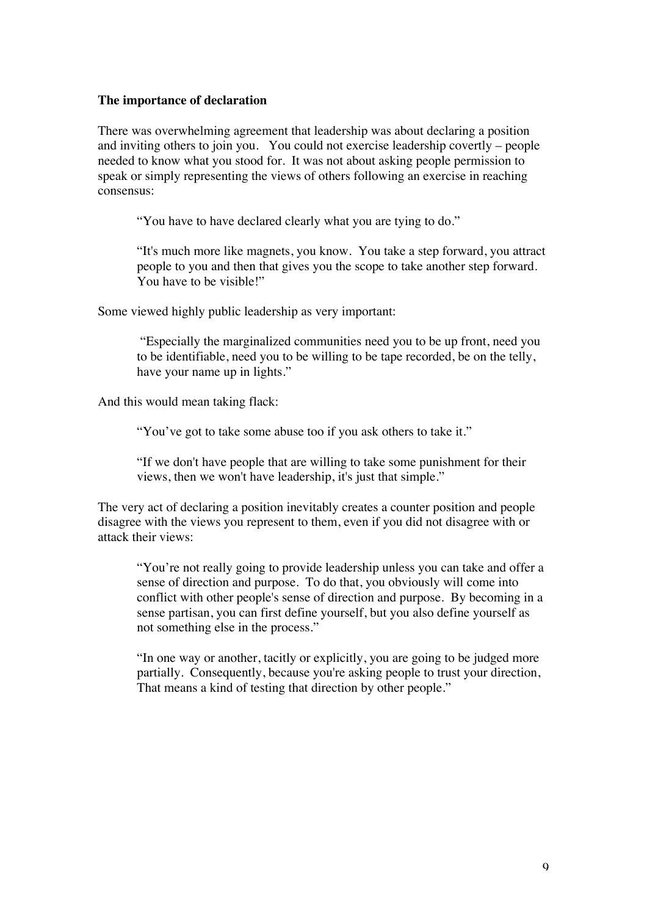### **The importance of declaration**

There was overwhelming agreement that leadership was about declaring a position and inviting others to join you. You could not exercise leadership covertly – people needed to know what you stood for. It was not about asking people permission to speak or simply representing the views of others following an exercise in reaching consensus:

"You have to have declared clearly what you are tying to do."

"It's much more like magnets, you know. You take a step forward, you attract people to you and then that gives you the scope to take another step forward. You have to be visible!"

Some viewed highly public leadership as very important:

"Especially the marginalized communities need you to be up front, need you to be identifiable, need you to be willing to be tape recorded, be on the telly, have your name up in lights."

And this would mean taking flack:

"You've got to take some abuse too if you ask others to take it."

"If we don't have people that are willing to take some punishment for their views, then we won't have leadership, it's just that simple."

The very act of declaring a position inevitably creates a counter position and people disagree with the views you represent to them, even if you did not disagree with or attack their views:

"You're not really going to provide leadership unless you can take and offer a sense of direction and purpose. To do that, you obviously will come into conflict with other people's sense of direction and purpose. By becoming in a sense partisan, you can first define yourself, but you also define yourself as not something else in the process."

"In one way or another, tacitly or explicitly, you are going to be judged more partially. Consequently, because you're asking people to trust your direction, That means a kind of testing that direction by other people."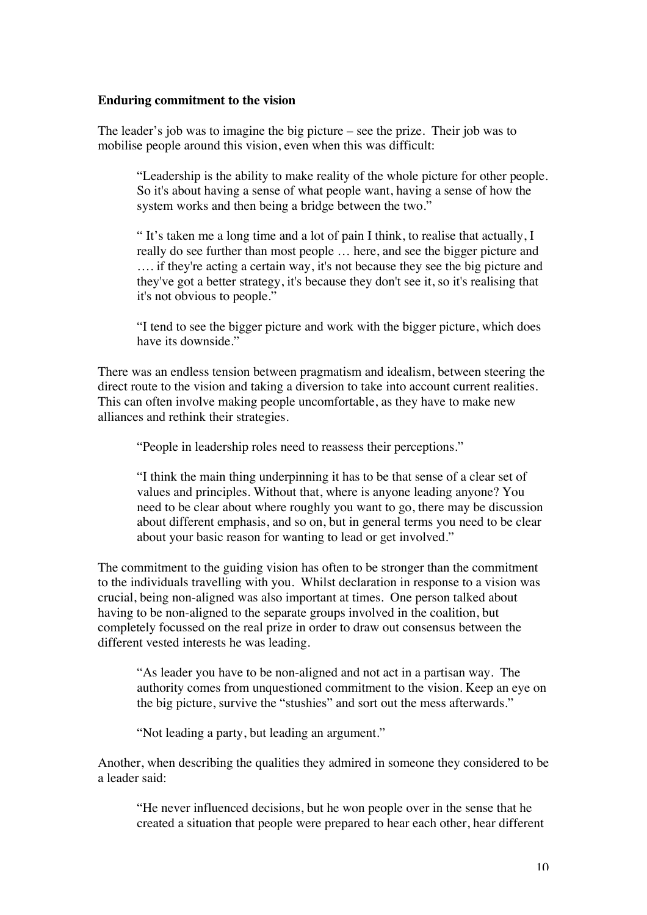### **Enduring commitment to the vision**

The leader's job was to imagine the big picture – see the prize. Their job was to mobilise people around this vision, even when this was difficult:

"Leadership is the ability to make reality of the whole picture for other people. So it's about having a sense of what people want, having a sense of how the system works and then being a bridge between the two."

" It's taken me a long time and a lot of pain I think, to realise that actually, I really do see further than most people … here, and see the bigger picture and …. if they're acting a certain way, it's not because they see the big picture and they've got a better strategy, it's because they don't see it, so it's realising that it's not obvious to people."

"I tend to see the bigger picture and work with the bigger picture, which does have its downside."

There was an endless tension between pragmatism and idealism, between steering the direct route to the vision and taking a diversion to take into account current realities. This can often involve making people uncomfortable, as they have to make new alliances and rethink their strategies.

"People in leadership roles need to reassess their perceptions."

"I think the main thing underpinning it has to be that sense of a clear set of values and principles. Without that, where is anyone leading anyone? You need to be clear about where roughly you want to go, there may be discussion about different emphasis, and so on, but in general terms you need to be clear about your basic reason for wanting to lead or get involved."

The commitment to the guiding vision has often to be stronger than the commitment to the individuals travelling with you. Whilst declaration in response to a vision was crucial, being non-aligned was also important at times. One person talked about having to be non-aligned to the separate groups involved in the coalition, but completely focussed on the real prize in order to draw out consensus between the different vested interests he was leading.

"As leader you have to be non-aligned and not act in a partisan way. The authority comes from unquestioned commitment to the vision. Keep an eye on the big picture, survive the "stushies" and sort out the mess afterwards."

"Not leading a party, but leading an argument."

Another, when describing the qualities they admired in someone they considered to be a leader said:

"He never influenced decisions, but he won people over in the sense that he created a situation that people were prepared to hear each other, hear different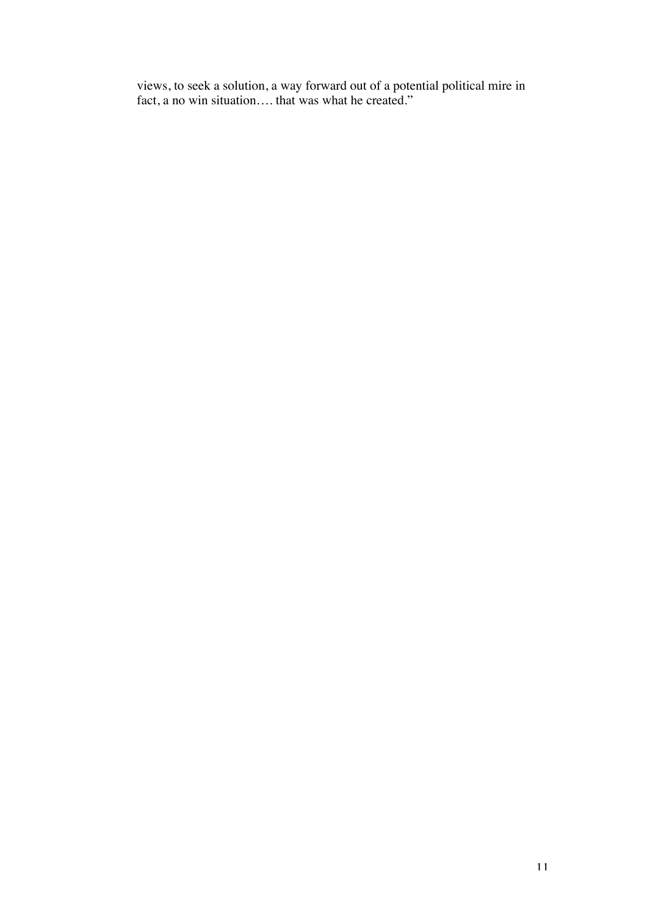views, to seek a solution, a way forward out of a potential political mire in fact, a no win situation…. that was what he created."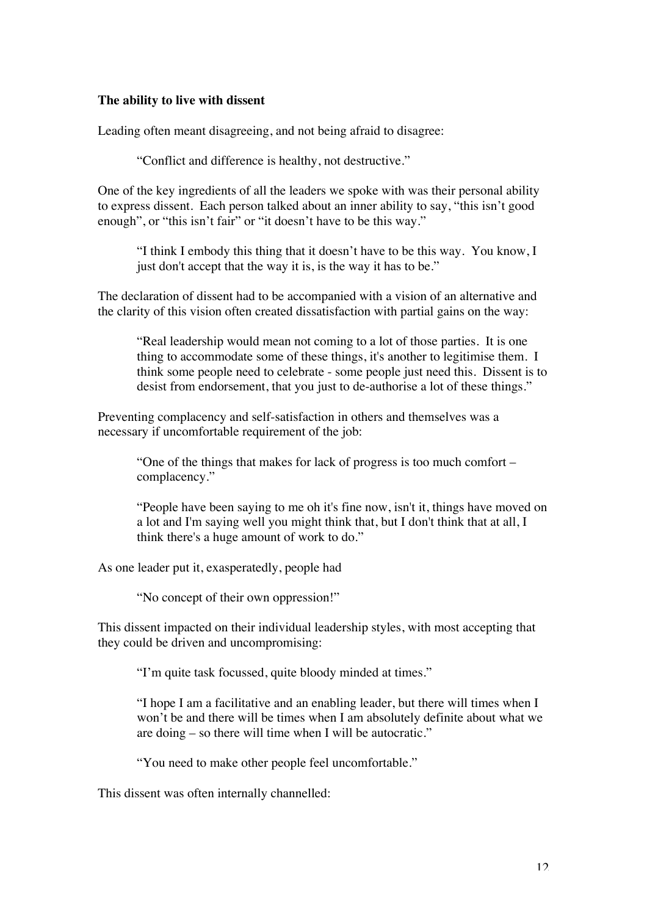### **The ability to live with dissent**

Leading often meant disagreeing, and not being afraid to disagree:

"Conflict and difference is healthy, not destructive."

One of the key ingredients of all the leaders we spoke with was their personal ability to express dissent. Each person talked about an inner ability to say, "this isn't good enough", or "this isn't fair" or "it doesn't have to be this way."

"I think I embody this thing that it doesn't have to be this way. You know, I just don't accept that the way it is, is the way it has to be."

The declaration of dissent had to be accompanied with a vision of an alternative and the clarity of this vision often created dissatisfaction with partial gains on the way:

"Real leadership would mean not coming to a lot of those parties. It is one thing to accommodate some of these things, it's another to legitimise them. I think some people need to celebrate - some people just need this. Dissent is to desist from endorsement, that you just to de-authorise a lot of these things."

Preventing complacency and self-satisfaction in others and themselves was a necessary if uncomfortable requirement of the job:

"One of the things that makes for lack of progress is too much comfort – complacency."

"People have been saying to me oh it's fine now, isn't it, things have moved on a lot and I'm saying well you might think that, but I don't think that at all, I think there's a huge amount of work to do."

As one leader put it, exasperatedly, people had

"No concept of their own oppression!"

This dissent impacted on their individual leadership styles, with most accepting that they could be driven and uncompromising:

"I'm quite task focussed, quite bloody minded at times."

"I hope I am a facilitative and an enabling leader, but there will times when I won't be and there will be times when I am absolutely definite about what we are doing – so there will time when I will be autocratic."

"You need to make other people feel uncomfortable."

This dissent was often internally channelled: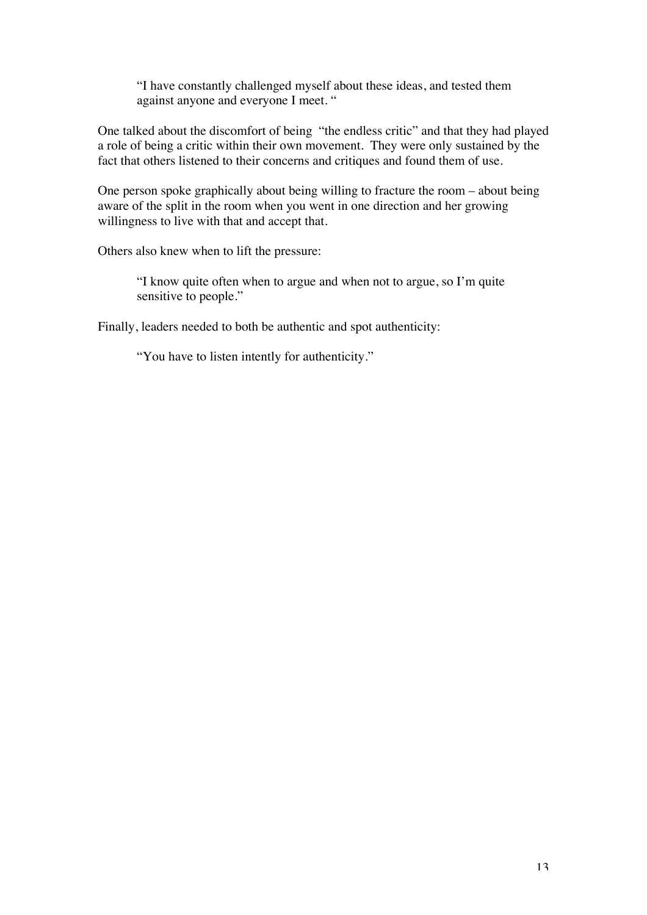"I have constantly challenged myself about these ideas, and tested them against anyone and everyone I meet. "

One talked about the discomfort of being "the endless critic" and that they had played a role of being a critic within their own movement. They were only sustained by the fact that others listened to their concerns and critiques and found them of use.

One person spoke graphically about being willing to fracture the room – about being aware of the split in the room when you went in one direction and her growing willingness to live with that and accept that.

Others also knew when to lift the pressure:

"I know quite often when to argue and when not to argue, so I'm quite sensitive to people."

Finally, leaders needed to both be authentic and spot authenticity:

"You have to listen intently for authenticity."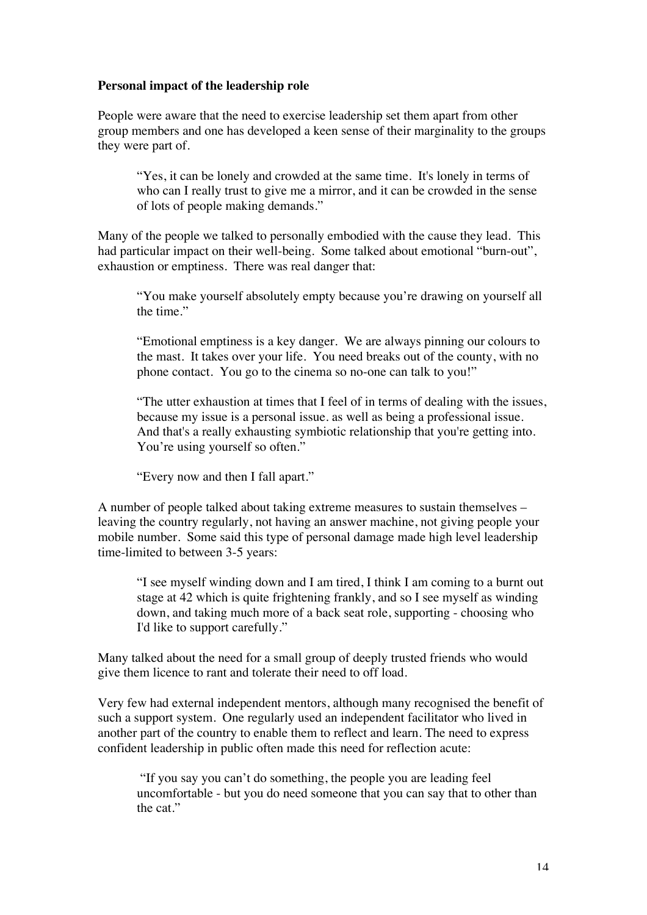### **Personal impact of the leadership role**

People were aware that the need to exercise leadership set them apart from other group members and one has developed a keen sense of their marginality to the groups they were part of.

"Yes, it can be lonely and crowded at the same time. It's lonely in terms of who can I really trust to give me a mirror, and it can be crowded in the sense of lots of people making demands."

Many of the people we talked to personally embodied with the cause they lead. This had particular impact on their well-being. Some talked about emotional "burn-out", exhaustion or emptiness. There was real danger that:

"You make yourself absolutely empty because you're drawing on yourself all the time."

"Emotional emptiness is a key danger. We are always pinning our colours to the mast. It takes over your life. You need breaks out of the county, with no phone contact. You go to the cinema so no-one can talk to you!"

"The utter exhaustion at times that I feel of in terms of dealing with the issues, because my issue is a personal issue. as well as being a professional issue. And that's a really exhausting symbiotic relationship that you're getting into. You're using yourself so often."

"Every now and then I fall apart."

A number of people talked about taking extreme measures to sustain themselves – leaving the country regularly, not having an answer machine, not giving people your mobile number. Some said this type of personal damage made high level leadership time-limited to between 3-5 years:

"I see myself winding down and I am tired, I think I am coming to a burnt out stage at 42 which is quite frightening frankly, and so I see myself as winding down, and taking much more of a back seat role, supporting - choosing who I'd like to support carefully."

Many talked about the need for a small group of deeply trusted friends who would give them licence to rant and tolerate their need to off load.

Very few had external independent mentors, although many recognised the benefit of such a support system. One regularly used an independent facilitator who lived in another part of the country to enable them to reflect and learn. The need to express confident leadership in public often made this need for reflection acute:

"If you say you can't do something, the people you are leading feel uncomfortable - but you do need someone that you can say that to other than the cat."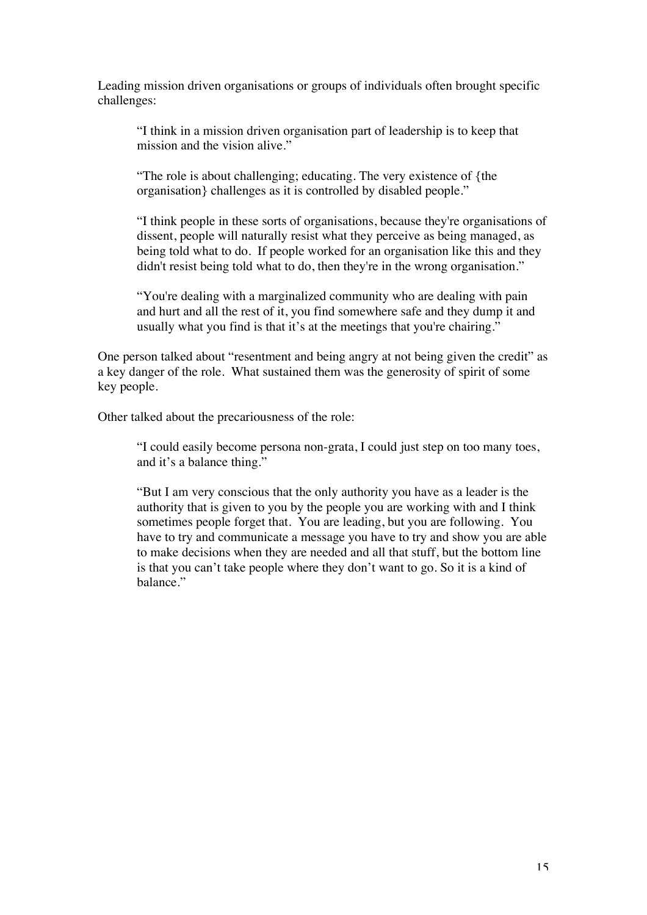Leading mission driven organisations or groups of individuals often brought specific challenges:

"I think in a mission driven organisation part of leadership is to keep that mission and the vision alive."

"The role is about challenging; educating. The very existence of {the organisation} challenges as it is controlled by disabled people."

"I think people in these sorts of organisations, because they're organisations of dissent, people will naturally resist what they perceive as being managed, as being told what to do. If people worked for an organisation like this and they didn't resist being told what to do, then they're in the wrong organisation."

"You're dealing with a marginalized community who are dealing with pain and hurt and all the rest of it, you find somewhere safe and they dump it and usually what you find is that it's at the meetings that you're chairing."

One person talked about "resentment and being angry at not being given the credit" as a key danger of the role. What sustained them was the generosity of spirit of some key people.

Other talked about the precariousness of the role:

"I could easily become persona non-grata, I could just step on too many toes, and it's a balance thing."

"But I am very conscious that the only authority you have as a leader is the authority that is given to you by the people you are working with and I think sometimes people forget that. You are leading, but you are following. You have to try and communicate a message you have to try and show you are able to make decisions when they are needed and all that stuff, but the bottom line is that you can't take people where they don't want to go. So it is a kind of balance."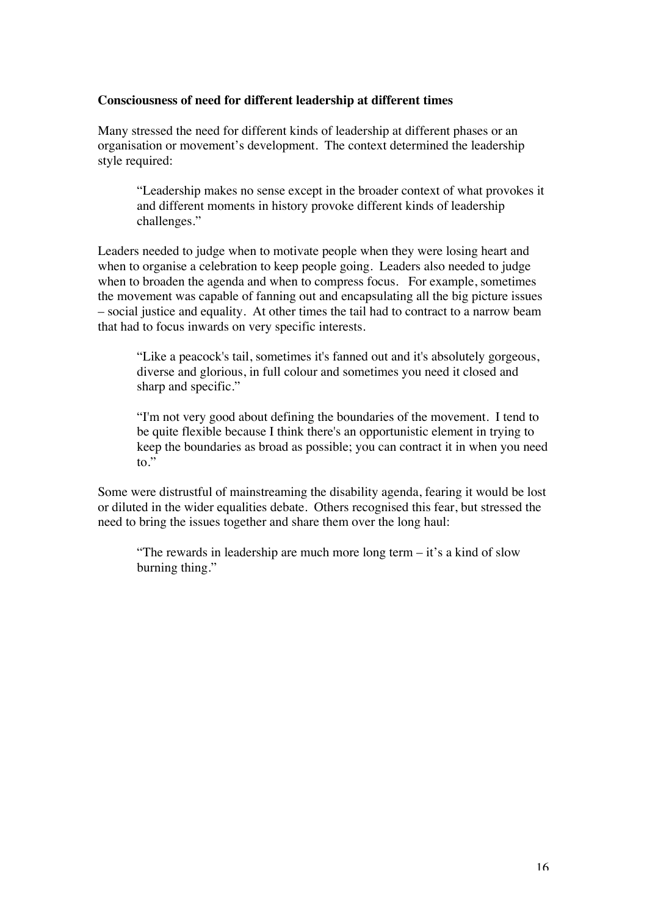### **Consciousness of need for different leadership at different times**

Many stressed the need for different kinds of leadership at different phases or an organisation or movement's development. The context determined the leadership style required:

"Leadership makes no sense except in the broader context of what provokes it and different moments in history provoke different kinds of leadership challenges."

Leaders needed to judge when to motivate people when they were losing heart and when to organise a celebration to keep people going. Leaders also needed to judge when to broaden the agenda and when to compress focus. For example, sometimes the movement was capable of fanning out and encapsulating all the big picture issues – social justice and equality. At other times the tail had to contract to a narrow beam that had to focus inwards on very specific interests.

"Like a peacock's tail, sometimes it's fanned out and it's absolutely gorgeous, diverse and glorious, in full colour and sometimes you need it closed and sharp and specific."

"I'm not very good about defining the boundaries of the movement. I tend to be quite flexible because I think there's an opportunistic element in trying to keep the boundaries as broad as possible; you can contract it in when you need to."

Some were distrustful of mainstreaming the disability agenda, fearing it would be lost or diluted in the wider equalities debate. Others recognised this fear, but stressed the need to bring the issues together and share them over the long haul:

"The rewards in leadership are much more long term – it's a kind of slow burning thing."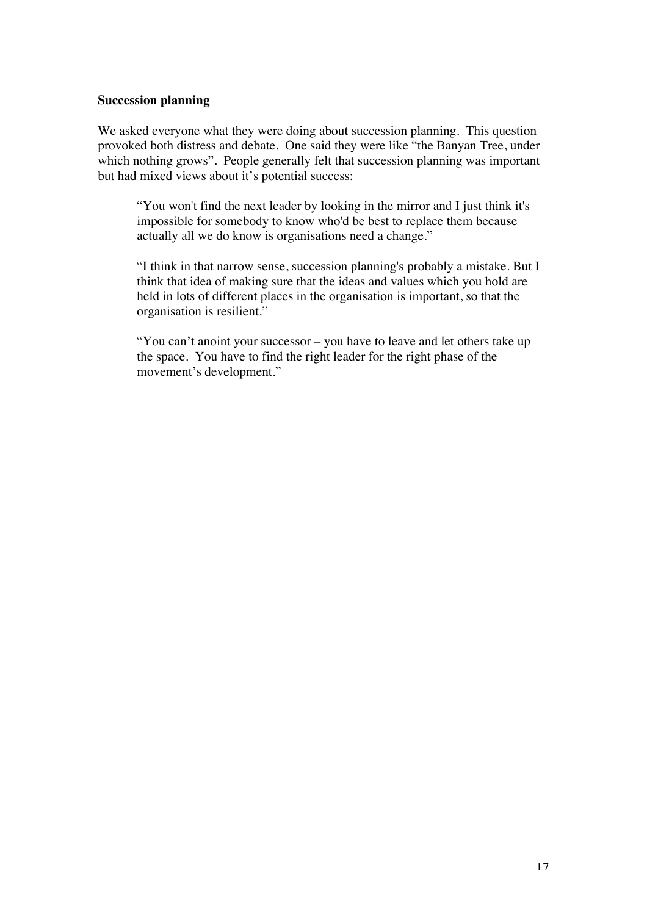## **Succession planning**

We asked everyone what they were doing about succession planning. This question provoked both distress and debate. One said they were like "the Banyan Tree, under which nothing grows". People generally felt that succession planning was important but had mixed views about it's potential success:

"You won't find the next leader by looking in the mirror and I just think it's impossible for somebody to know who'd be best to replace them because actually all we do know is organisations need a change."

"I think in that narrow sense, succession planning's probably a mistake. But I think that idea of making sure that the ideas and values which you hold are held in lots of different places in the organisation is important, so that the organisation is resilient."

"You can't anoint your successor – you have to leave and let others take up the space. You have to find the right leader for the right phase of the movement's development."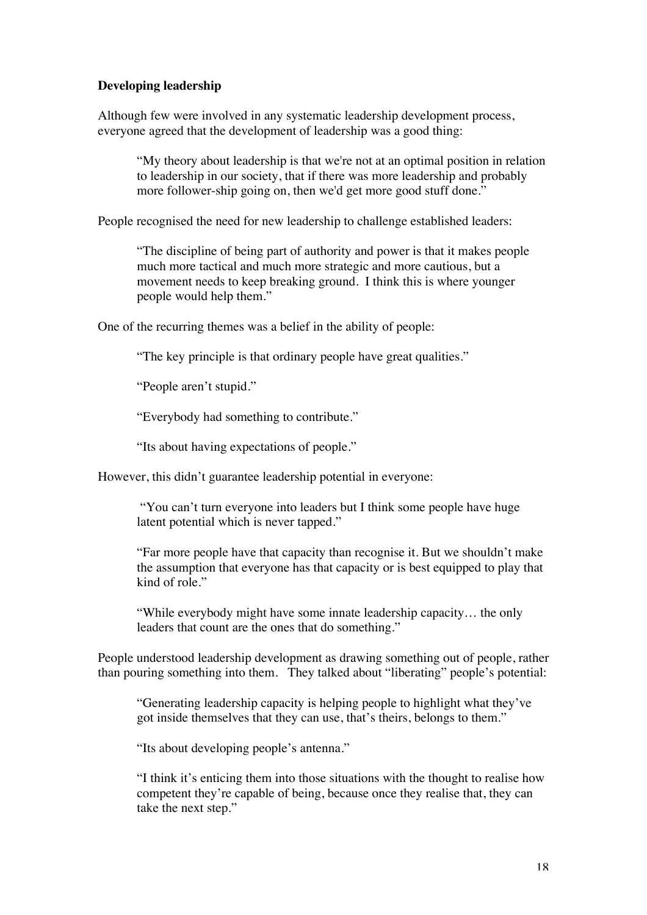# **Developing leadership**

Although few were involved in any systematic leadership development process, everyone agreed that the development of leadership was a good thing:

"My theory about leadership is that we're not at an optimal position in relation to leadership in our society, that if there was more leadership and probably more follower-ship going on, then we'd get more good stuff done."

People recognised the need for new leadership to challenge established leaders:

"The discipline of being part of authority and power is that it makes people much more tactical and much more strategic and more cautious, but a movement needs to keep breaking ground. I think this is where younger people would help them."

One of the recurring themes was a belief in the ability of people:

"The key principle is that ordinary people have great qualities."

"People aren't stupid."

"Everybody had something to contribute."

"Its about having expectations of people."

However, this didn't guarantee leadership potential in everyone:

"You can't turn everyone into leaders but I think some people have huge latent potential which is never tapped."

"Far more people have that capacity than recognise it. But we shouldn't make the assumption that everyone has that capacity or is best equipped to play that kind of role."

"While everybody might have some innate leadership capacity… the only leaders that count are the ones that do something."

People understood leadership development as drawing something out of people, rather than pouring something into them. They talked about "liberating" people's potential:

"Generating leadership capacity is helping people to highlight what they've got inside themselves that they can use, that's theirs, belongs to them."

"Its about developing people's antenna."

"I think it's enticing them into those situations with the thought to realise how competent they're capable of being, because once they realise that, they can take the next step."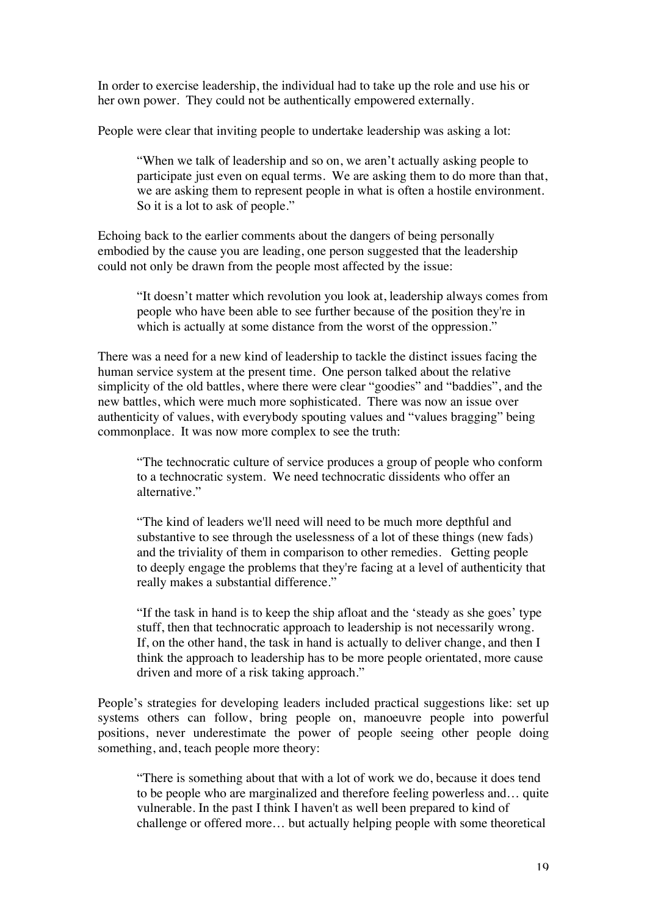In order to exercise leadership, the individual had to take up the role and use his or her own power. They could not be authentically empowered externally.

People were clear that inviting people to undertake leadership was asking a lot:

"When we talk of leadership and so on, we aren't actually asking people to participate just even on equal terms. We are asking them to do more than that, we are asking them to represent people in what is often a hostile environment. So it is a lot to ask of people."

Echoing back to the earlier comments about the dangers of being personally embodied by the cause you are leading, one person suggested that the leadership could not only be drawn from the people most affected by the issue:

"It doesn't matter which revolution you look at, leadership always comes from people who have been able to see further because of the position they're in which is actually at some distance from the worst of the oppression."

There was a need for a new kind of leadership to tackle the distinct issues facing the human service system at the present time. One person talked about the relative simplicity of the old battles, where there were clear "goodies" and "baddies", and the new battles, which were much more sophisticated. There was now an issue over authenticity of values, with everybody spouting values and "values bragging" being commonplace. It was now more complex to see the truth:

"The technocratic culture of service produces a group of people who conform to a technocratic system. We need technocratic dissidents who offer an alternative."

"The kind of leaders we'll need will need to be much more depthful and substantive to see through the uselessness of a lot of these things (new fads) and the triviality of them in comparison to other remedies. Getting people to deeply engage the problems that they're facing at a level of authenticity that really makes a substantial difference."

"If the task in hand is to keep the ship afloat and the 'steady as she goes' type stuff, then that technocratic approach to leadership is not necessarily wrong. If, on the other hand, the task in hand is actually to deliver change, and then I think the approach to leadership has to be more people orientated, more cause driven and more of a risk taking approach."

People's strategies for developing leaders included practical suggestions like: set up systems others can follow, bring people on, manoeuvre people into powerful positions, never underestimate the power of people seeing other people doing something, and, teach people more theory:

"There is something about that with a lot of work we do, because it does tend to be people who are marginalized and therefore feeling powerless and… quite vulnerable. In the past I think I haven't as well been prepared to kind of challenge or offered more… but actually helping people with some theoretical